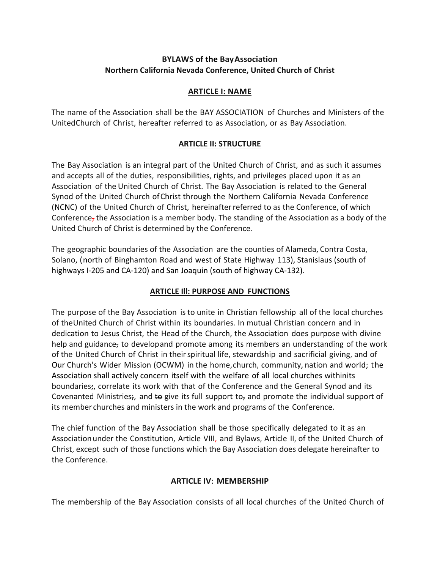# **BYLAWS of the BayAssociation Northern California Nevada Conference, United Church of Christ**

### **ARTICLE I: NAME**

The name of the Association shall be the BAY ASSOCIATION of Churches and Ministers of the UnitedChurch of Christ, hereafter referred to as Association, or as Bay Association.

### **ARTICLE II: STRUCTURE**

The Bay Association is an integral part of the United Church of Christ, and as such it assumes and accepts all of the duties, responsibilities, rights, and privileges placed upon it as an Association of the United Church of Christ. The Bay Association is related to the General Synod of the United Church ofChrist through the Northern California Nevada Conference (NCNC) of the United Church of Christ, hereinafterreferred to as the Conference, of which Conference, the Association is a member body. The standing of the Association as a body of the United Church of Christ is determined by the Conference.

The geographic boundaries of the Association are the counties of Alameda, Contra Costa, Solano, (north of Binghamton Road and west of State Highway 113), Stanislaus (south of highways I-205 and CA-120) and San Joaquin (south of highway CA-132).

## **ARTICLE Ill: PURPOSE AND FUNCTIONS**

The purpose of the Bay Association is to unite in Christian fellowship all of the local churches of theUnited Church of Christ within its boundaries. In mutual Christian concern and in dedication to Jesus Christ, the Head of the Church, the Association does purpose with divine help and guidance, to developand promote among its members an understanding of the work of the United Church of Christ in theirspiritual life, stewardship and sacrificial giving, and of Our Church's Wider Mission (OCWM) in the home,church, community, nation and world; the Association shall actively concern itself with the welfare of all local churches withinits boundaries;, correlate its work with that of the Conference and the General Synod and its Covenanted Ministries;, and to give its full support to, and promote the individual support of its member churches and ministers in the work and programs of the Conference.

The chief function of the Bay Association shall be those specifically delegated to it as an Associationunder the Constitution, Article VIII, and Bylaws, Article II, of the United Church of Christ, except such of those functions which the Bay Association does delegate hereinafter to the Conference.

### **ARTICLE IV**: **MEMBERSHIP**

The membership of the Bay Association consists of all local churches of the United Church of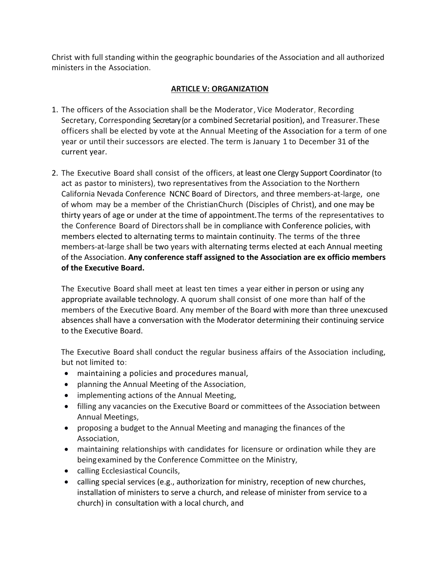Christ with full standing within the geographic boundaries of the Association and all authorized ministers in the Association.

# **ARTICLE V: ORGANIZATION**

- 1. The officers of the Association shall be the Moderator, Vice Moderator, Recording Secretary, Corresponding Secretary(or a combined Secretarial position), and Treasurer. These officers shall be elected by vote at the Annual Meeting of the Association for a term of one year or until their successors are elected. The term is January 1 to December 31 of the current year.
- 2. The Executive Board shall consist of the officers, at least one Clergy Support Coordinator (to act as pastor to ministers), two representatives from the Association to the Northern California Nevada Conference NCNC Board of Directors, and three members-at-large, one of whom may be a member of the ChristianChurch (Disciples of Christ), and one may be thirty years of age or under at the time of appointment. The terms of the representatives to the Conference Board of Directorsshall be in compliance with Conference policies, with members elected to alternating terms to maintain continuity. The terms of the three members-at-large shall be two years with alternating terms elected at each Annual meeting of the Association. **Any conference staff assigned to the Association are ex officio members of the Executive Board.**

The Executive Board shall meet at least ten times a year either in person or using any appropriate available technology. A quorum shall consist of one more than half of the members of the Executive Board. Any member of the Board with more than three unexcused absences shall have a conversation with the Moderator determining their continuing service to the Executive Board.

The Executive Board shall conduct the regular business affairs of the Association including, but not limited to:

- maintaining a policies and procedures manual,
- planning the Annual Meeting of the Association,
- implementing actions of the Annual Meeting,
- filling any vacancies on the Executive Board or committees of the Association between Annual Meetings,
- proposing a budget to the Annual Meeting and managing the finances of the Association,
- maintaining relationships with candidates for licensure or ordination while they are beingexamined by the Conference Committee on the Ministry,
- calling Ecclesiastical Councils,
- calling special services (e.g., authorization for ministry, reception of new churches, installation of ministers to serve a church, and release of minister from service to a church) in consultation with a local church, and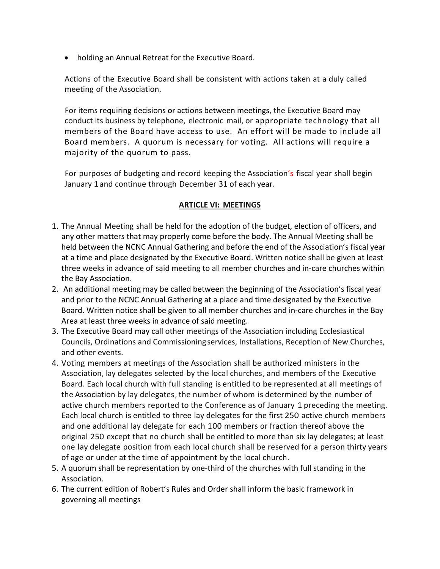• holding an Annual Retreat for the Executive Board.

Actions of the Executive Board shall be consistent with actions taken at a duly called meeting of the Association.

For items requiring decisions or actions between meetings, the Executive Board may conduct its business by telephone, electronic mail, or appropriate technology that all members of the Board have access to use. An effort will be made to include all Board members. A quorum is necessary for voting. All actions will require a majority of the quorum to pass.

For purposes of budgeting and record keeping the Association's fiscal year shall begin January 1and continue through December 31 of each year.

# **ARTICLE VI: MEETINGS**

- 1. The Annual Meeting shall be held for the adoption of the budget, election of officers, and any other matters that may properly come before the body. The Annual Meeting shall be held between the NCNC Annual Gathering and before the end of the Association's fiscal year at a time and place designated by the Executive Board. Written notice shall be given at least three weeks in advance of said meeting to all member churches and in-care churches within the Bay Association.
- 2. An additional meeting may be called between the beginning of the Association's fiscal year and prior to the NCNC Annual Gathering at a place and time designated by the Executive Board. Written notice shall be given to all member churches and in-care churches in the Bay Area at least three weeks in advance of said meeting.
- 3. The Executive Board may call other meetings of the Association including Ecclesiastical Councils, Ordinations and Commissioning services, Installations, Reception of New Churches, and other events.
- 4. Voting members at meetings of the Association shall be authorized ministers in the Association, lay delegates selected by the local churches, and members of the Executive Board. Each local church with full standing is entitled to be represented at all meetings of the Association by lay delegates, the number of whom is determined by the number of active church members reported to the Conference as of January 1 preceding the meeting. Each local church is entitled to three lay delegates for the first 250 active church members and one additional lay delegate for each 100 members or fraction thereof above the original 250 except that no church shall be entitled to more than six lay delegates; at least one lay delegate position from each local church shall be reserved for a person thirty years of age or under at the time of appointment by the local church.
- 5. A quorum shall be representation by one-third of the churches with full standing in the Association.
- 6. The current edition of Robert's Rules and Order shall inform the basic framework in governing all meetings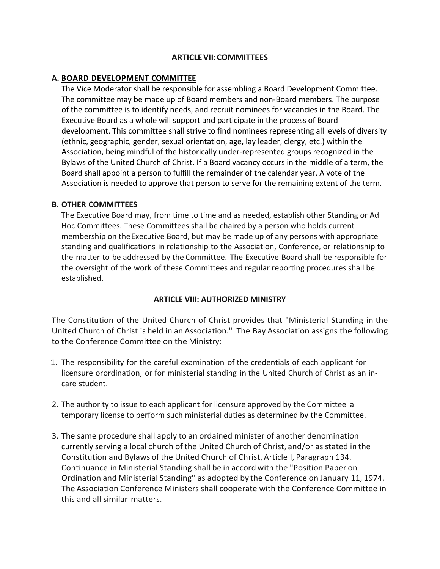### **ARTICLEVII**:**COMMITTEES**

### **A. BOARD DEVELOPMENT COMMITTEE**

The Vice Moderator shall be responsible for assembling a Board Development Committee. The committee may be made up of Board members and non-Board members. The purpose of the committee is to identify needs, and recruit nominees for vacancies in the Board. The Executive Board as a whole will support and participate in the process of Board development. This committee shall strive to find nominees representing all levels of diversity (ethnic, geographic, gender, sexual orientation, age, lay leader, clergy, etc.) within the Association, being mindful of the historically under-represented groups recognized in the Bylaws of the United Church of Christ. If a Board vacancy occurs in the middle of a term, the Board shall appoint a person to fulfill the remainder of the calendar year. A vote of the Association is needed to approve that person to serve for the remaining extent of the term.

### **B. OTHER COMMITTEES**

The Executive Board may, from time to time and as needed, establish other Standing or Ad Hoc Committees. These Committees shall be chaired by a person who holds current membership on theExecutive Board, but may be made up of any persons with appropriate standing and qualifications in relationship to the Association, Conference, or relationship to the matter to be addressed by the Committee. The Executive Board shall be responsible for the oversight of the work of these Committees and regular reporting procedures shall be established.

## **ARTICLE VIII: AUTHORIZED MINISTRY**

The Constitution of the United Church of Christ provides that "Ministerial Standing in the United Church of Christ is held in an Association." The Bay Association assigns the following to the Conference Committee on the Ministry:

- 1. The responsibility for the careful examination of the credentials of each applicant for licensure orordination, or for ministerial standing in the United Church of Christ as an incare student.
- 2. The authority to issue to each applicant for licensure approved by the Committee a temporary license to perform such ministerial duties as determined by the Committee.
- 3. The same procedure shall apply to an ordained minister of another denomination currently serving a local church of the United Church of Christ, and/or as stated in the Constitution and Bylaws of the United Church of Christ, Article I, Paragraph 134. Continuance in Ministerial Standing shall be in accord with the "Position Paper on Ordination and Ministerial Standing" as adopted by the Conference on January 11, 1974. The Association Conference Ministers shall cooperate with the Conference Committee in this and all similar matters.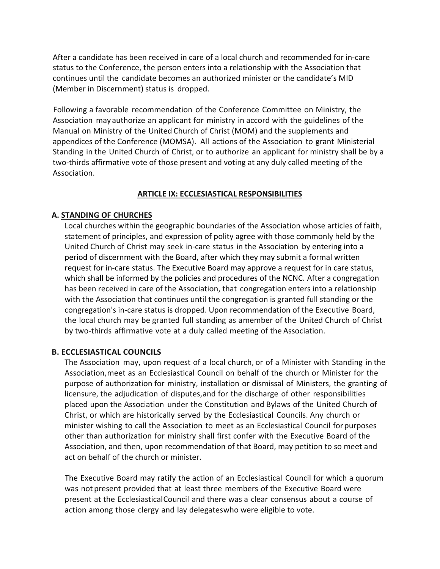After a candidate has been received in care of a local church and recommended for in-care status to the Conference, the person enters into a relationship with the Association that continues until the candidate becomes an authorized minister or the candidate's MID (Member in Discernment) status is dropped.

Following a favorable recommendation of the Conference Committee on Ministry, the Association may authorize an applicant for ministry in accord with the guidelines of the Manual on Ministry of the United Church of Christ (MOM) and the supplements and appendices of the Conference (MOMSA). All actions of the Association to grant Ministerial Standing in the United Church of Christ, or to authorize an applicant for ministry shall be by a two-thirds affirmative vote of those present and voting at any duly called meeting of the Association.

#### **ARTICLE IX: ECCLESIASTICAL RESPONSIBILITIES**

#### **A. STANDING OF CHURCHES**

Local churches within the geographic boundaries of the Association whose articles of faith, statement of principles, and expression of polity agree with those commonly held by the United Church of Christ may seek in-care status in the Association by entering into a period of discernment with the Board, after which they may submit a formal written request for in-care status. The Executive Board may approve a request for in care status, which shall be informed by the policies and procedures of the NCNC. After a congregation has been received in care of the Association, that congregation enters into a relationship with the Association that continues until the congregation is granted full standing or the congregation's in-care status is dropped. Upon recommendation of the Executive Board, the local church may be granted full standing as amember of the United Church of Christ by two-thirds affirmative vote at a duly called meeting of the Association.

#### **B. ECCLESIASTICAL COUNCILS**

The Association may, upon request of a local church, or of a Minister with Standing in the Association,meet as an Ecclesiastical Council on behalf of the church or Minister for the purpose of authorization for ministry, installation or dismissal of Ministers, the granting of licensure, the adjudication of disputes,and for the discharge of other responsibilities placed upon the Association under the Constitution and Bylaws of the United Church of Christ, or which are historically served by the Ecclesiastical Councils. Any church or minister wishing to call the Association to meet as an Ecclesiastical Council for purposes other than authorization for ministry shall first confer with the Executive Board of the Association, and then, upon recommendation of that Board, may petition to so meet and act on behalf of the church or minister.

The Executive Board may ratify the action of an Ecclesiastical Council for which a quorum was not present provided that at least three members of the Executive Board were present at the EcclesiasticalCouncil and there was a clear consensus about a course of action among those clergy and lay delegateswho were eligible to vote.